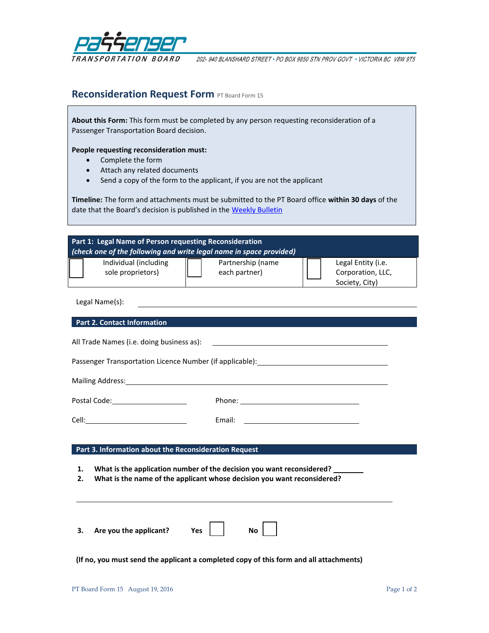

202-940 BLANSHARD STREET · PO BOX 9850 STN PROV GOVT · VICTORIA BC V8W 9T5

# **Reconsideration Request Form PT Board Form 15**

**About this Form:** This form must be completed by any person requesting reconsideration of a Passenger Transportation Board decision.

## **People requesting reconsideration must:**

- Complete the form
- Attach any related documents
- Send a copy of the form to the applicant, if you are not the applicant

**Timeline:** The form and attachments must be submitted to the PT Board office **within 30 days** of the date that the Board's decision is published in the [Weekly Bulletin](http://www.ptboard.bc.ca/bulletins.htm)

| Part 1: Legal Name of Person requesting Reconsideration<br>(check one of the following and write legal name in space provided)                                                                                                                                                    |
|-----------------------------------------------------------------------------------------------------------------------------------------------------------------------------------------------------------------------------------------------------------------------------------|
| Individual (including<br>Partnership (name<br>Legal Entity (i.e.<br>sole proprietors)<br>each partner)<br>Corporation, LLC,<br>Society, City)                                                                                                                                     |
| Legal Name(s):<br><u> 1980 - Andrea Barbara, amerikan basar dan berasal dalam berasal dalam berasal dalam berasal dalam berasal da</u>                                                                                                                                            |
| <b>Part 2. Contact Information</b>                                                                                                                                                                                                                                                |
| All Trade Names (i.e. doing business as):<br><u>and the contract of the contract of the contract of the contract of the contract of the contract of the contract of the contract of the contract of the contract of the contract of the contract of the contract of the contr</u> |
| Passenger Transportation Licence Number (if applicable): ________________________                                                                                                                                                                                                 |
|                                                                                                                                                                                                                                                                                   |
| Postal Code: 2000                                                                                                                                                                                                                                                                 |
| Email:<br><u> 1989 - Johann Barn, mars and de Branch Barn, mars and de Branch Barn, mars and de Branch Barn, mars and de Br</u>                                                                                                                                                   |
|                                                                                                                                                                                                                                                                                   |
| Part 3. Information about the Reconsideration Request                                                                                                                                                                                                                             |
| What is the application number of the decision you want reconsidered?<br>1.<br>What is the name of the applicant whose decision you want reconsidered?<br>2.                                                                                                                      |
| Are you the applicant?<br><b>No</b><br>3.<br>Yes                                                                                                                                                                                                                                  |
| (If no, you must send the applicant a completed copy of this form and all attachments)                                                                                                                                                                                            |